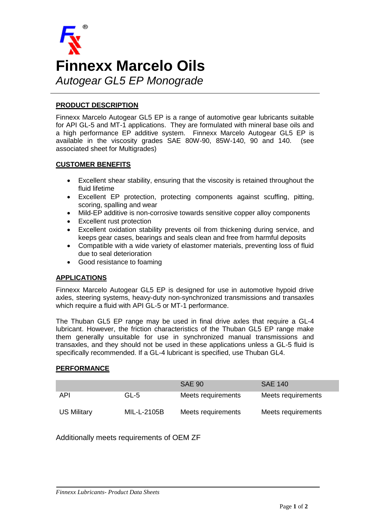

## **PRODUCT DESCRIPTION**

Finnexx Marcelo Autogear GL5 EP is a range of automotive gear lubricants suitable for API GL-5 and MT-1 applications. They are formulated with mineral base oils and a high performance EP additive system. Finnexx Marcelo Autogear GL5 EP is available in the viscosity grades SAE 80W-90, 85W-140, 90 and 140. (see associated sheet for Multigrades)

### **CUSTOMER BENEFITS**

- Excellent shear stability, ensuring that the viscosity is retained throughout the fluid lifetime
- Excellent EP protection, protecting components against scuffing, pitting, scoring, spalling and wear
- Mild-EP additive is non-corrosive towards sensitive copper alloy components
- Excellent rust protection
- Excellent oxidation stability prevents oil from thickening during service, and keeps gear cases, bearings and seals clean and free from harmful deposits
- Compatible with a wide variety of elastomer materials, preventing loss of fluid due to seal deterioration
- Good resistance to foaming

## **APPLICATIONS**

Finnexx Marcelo Autogear GL5 EP is designed for use in automotive hypoid drive axles, steering systems, heavy-duty non-synchronized transmissions and transaxles which require a fluid with API GL-5 or MT-1 performance.

The Thuban GL5 EP range may be used in final drive axles that require a GL-4 lubricant. However, the friction characteristics of the Thuban GL5 EP range make them generally unsuitable for use in synchronized manual transmissions and transaxles, and they should not be used in these applications unless a GL-5 fluid is specifically recommended. If a GL-4 lubricant is specified, use Thuban GL4.

### **PERFORMANCE**

|                    |             | <b>SAE 90</b>      | <b>SAE 140</b>     |
|--------------------|-------------|--------------------|--------------------|
| API                | GL-5        | Meets requirements | Meets requirements |
| <b>US Military</b> | MIL-L-2105B | Meets requirements | Meets requirements |

Additionally meets requirements of OEM ZF